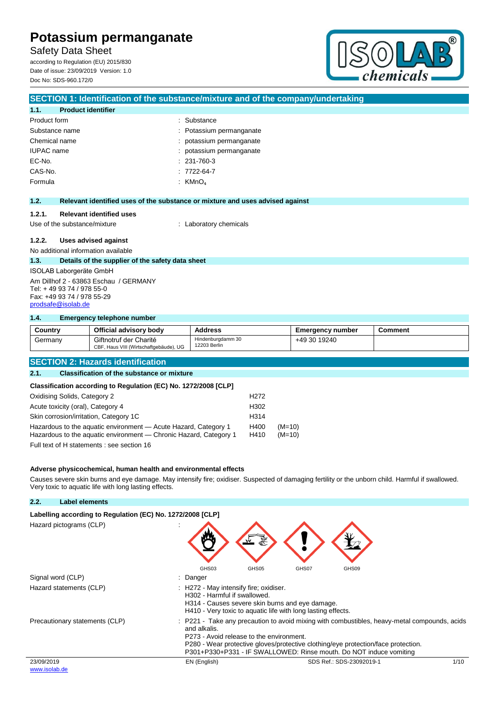Safety Data Sheet

according to Regulation (EU) 2015/830 Date of issue: 23/09/2019 Version: 1.0 Doc No: SDS-960.172/0



## **SECTION 1: Identification of the substance/mixture and of the company/undertaking 1.1. Product identifier** Product form  $\qquad \qquad$ : Substance Substance name : Potassium permanganate Chemical name  $\qquad \qquad :$  potassium permanganate IUPAC name  $\qquad \qquad$ : potassium permanganate EC-No. : 231-760-3 CAS-No. : 7722-64-7 Formula : KMnO4 **1.2. Relevant identified uses of the substance or mixture and uses advised against 1.2.1. Relevant identified uses** Use of the substance/mixture : Laboratory chemicals **1.2.2. Uses advised against** No additional information available **1.3. Details of the supplier of the safety data sheet** ISOLAB Laborgeräte GmbH Am Dillhof 2 - 63863 Eschau / GERMANY Tel: + 49 93 74 / 978 55-0 Fax: +49 93 74 / 978 55-29 [prodsafe@isolab.de](mailto:prodsafe@isolab.de)

### **1.4. Emergency telephone number**

| Country | Official advisory body                                           | <b>Address</b>                    | <b>Emergency number</b> | Comment |
|---------|------------------------------------------------------------------|-----------------------------------|-------------------------|---------|
| Germany | Giftnotruf der Charité<br>CBF, Haus VIII (Wirtschaftgebäude), UG | Hindenburgdamm 30<br>12203 Berlin | +49 30 19240            |         |

## **SECTION 2: Hazards identification**

#### **2.1. Classification of the substance or mixture**

### **Classification according to Regulation (EC) No. 1272/2008 [CLP]**

| Oxidising Solids, Category 2                                                                                                         | H <sub>2</sub> 72 |                      |
|--------------------------------------------------------------------------------------------------------------------------------------|-------------------|----------------------|
| Acute toxicity (oral), Category 4                                                                                                    | H302              |                      |
| Skin corrosion/irritation, Category 1C                                                                                               | H <sub>314</sub>  |                      |
| Hazardous to the aquatic environment - Acute Hazard, Category 1<br>Hazardous to the aquatic environment — Chronic Hazard, Category 1 | H400<br>H410      | $(M=10)$<br>$(M=10)$ |
| Full text of H statements : see section 16                                                                                           |                   |                      |

### **Adverse physicochemical, human health and environmental effects**

Causes severe skin burns and eye damage. May intensify fire; oxidiser. Suspected of damaging fertility or the unborn child. Harmful if swallowed. Very toxic to aquatic life with long lasting effects.

| 2.2.                        | Label elements                                             |                                                                                                                                                                                                                                                                                                                   |
|-----------------------------|------------------------------------------------------------|-------------------------------------------------------------------------------------------------------------------------------------------------------------------------------------------------------------------------------------------------------------------------------------------------------------------|
|                             | Labelling according to Regulation (EC) No. 1272/2008 [CLP] |                                                                                                                                                                                                                                                                                                                   |
|                             | Hazard pictograms (CLP)                                    | GHS <sub>03</sub><br>GHS <sub>05</sub><br>GHS07<br>GHS09                                                                                                                                                                                                                                                          |
|                             | Signal word (CLP)                                          | Danger                                                                                                                                                                                                                                                                                                            |
|                             | Hazard statements (CLP)                                    | : H272 - May intensify fire; oxidiser.<br>H302 - Harmful if swallowed.<br>H314 - Causes severe skin burns and eye damage.<br>H410 - Very toxic to aquatic life with long lasting effects.                                                                                                                         |
|                             | Precautionary statements (CLP)                             | P221 - Take any precaution to avoid mixing with combustibles, heavy-metal compounds, acids<br>and alkalis.<br>P273 - Avoid release to the environment.<br>P280 - Wear protective gloves/protective clothing/eye protection/face protection.<br>P301+P330+P331 - IF SWALLOWED: Rinse mouth. Do NOT induce vomiting |
| 23/09/2019<br>www.isolab.de |                                                            | SDS Ref.: SDS-23092019-1<br>1/10<br>EN (English)                                                                                                                                                                                                                                                                  |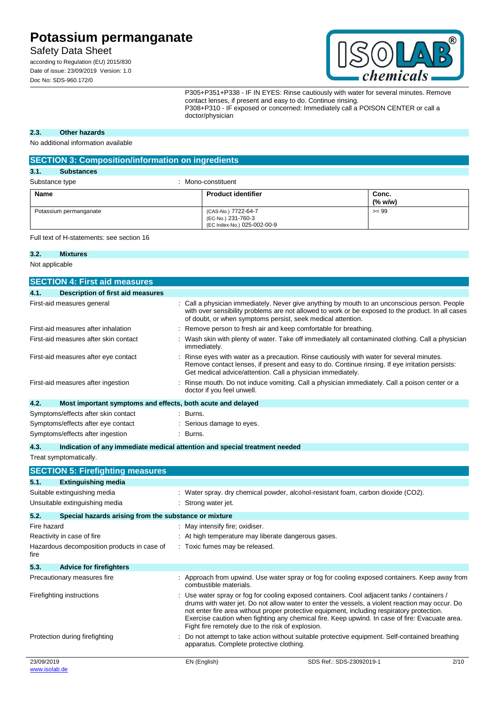Safety Data Sheet

according to Regulation (EU) 2015/830 Date of issue: 23/09/2019 Version: 1.0 Doc No: SDS-960.172/0



P305+P351+P338 - IF IN EYES: Rinse cautiously with water for several minutes. Remove contact lenses, if present and easy to do. Continue rinsing. P308+P310 - IF exposed or concerned: Immediately call a POISON CENTER or call a doctor/physician

### **2.3. Other hazards**

No additional information available

| <b>SECTION 3: Composition/information on ingredients</b> |                                                                          |                  |  |  |
|----------------------------------------------------------|--------------------------------------------------------------------------|------------------|--|--|
| 3.1.<br><b>Substances</b>                                |                                                                          |                  |  |  |
| Substance type<br>Mono-constituent                       |                                                                          |                  |  |  |
| <b>Name</b>                                              | <b>Product identifier</b>                                                | Conc.<br>(% w/w) |  |  |
| Potassium permanganate                                   | (CAS-No.) 7722-64-7<br>(EC-No.) 231-760-3<br>(EC Index-No.) 025-002-00-9 | $>= 99$          |  |  |

Full text of H-statements: see section 16

#### **3.2. Mixtures**

Not applicable

|                           | <b>SECTION 4: First aid measures</b>                        |                                                                                                                                                                                                                                                                                                                                                                                                                                                   |
|---------------------------|-------------------------------------------------------------|---------------------------------------------------------------------------------------------------------------------------------------------------------------------------------------------------------------------------------------------------------------------------------------------------------------------------------------------------------------------------------------------------------------------------------------------------|
| 4.1.                      | <b>Description of first aid measures</b>                    |                                                                                                                                                                                                                                                                                                                                                                                                                                                   |
|                           | First-aid measures general                                  | Call a physician immediately. Never give anything by mouth to an unconscious person. People<br>with over sensibility problems are not allowed to work or be exposed to the product. In all cases<br>of doubt, or when symptoms persist, seek medical attention.                                                                                                                                                                                   |
|                           | First-aid measures after inhalation                         | Remove person to fresh air and keep comfortable for breathing.                                                                                                                                                                                                                                                                                                                                                                                    |
|                           | First-aid measures after skin contact                       | Wash skin with plenty of water. Take off immediately all contaminated clothing. Call a physician<br>immediately.                                                                                                                                                                                                                                                                                                                                  |
|                           | First-aid measures after eye contact                        | Rinse eyes with water as a precaution. Rinse cautiously with water for several minutes.<br>Remove contact lenses, if present and easy to do. Continue rinsing. If eye irritation persists:<br>Get medical advice/attention. Call a physician immediately.                                                                                                                                                                                         |
|                           | First-aid measures after ingestion                          | Rinse mouth. Do not induce vomiting. Call a physician immediately. Call a poison center or a<br>doctor if you feel unwell.                                                                                                                                                                                                                                                                                                                        |
| 4.2.                      | Most important symptoms and effects, both acute and delayed |                                                                                                                                                                                                                                                                                                                                                                                                                                                   |
|                           | Symptoms/effects after skin contact                         | : Burns.                                                                                                                                                                                                                                                                                                                                                                                                                                          |
|                           | Symptoms/effects after eye contact                          | Serious damage to eyes.                                                                                                                                                                                                                                                                                                                                                                                                                           |
|                           | Symptoms/effects after ingestion                            | Burns.                                                                                                                                                                                                                                                                                                                                                                                                                                            |
| 4.3.                      |                                                             | Indication of any immediate medical attention and special treatment needed                                                                                                                                                                                                                                                                                                                                                                        |
|                           | Treat symptomatically.                                      |                                                                                                                                                                                                                                                                                                                                                                                                                                                   |
|                           | <b>SECTION 5: Firefighting measures</b>                     |                                                                                                                                                                                                                                                                                                                                                                                                                                                   |
| 5.1.                      | <b>Extinguishing media</b>                                  |                                                                                                                                                                                                                                                                                                                                                                                                                                                   |
|                           | Suitable extinguishing media                                | : Water spray. dry chemical powder, alcohol-resistant foam, carbon dioxide (CO2).                                                                                                                                                                                                                                                                                                                                                                 |
|                           | Unsuitable extinguishing media                              | : Strong water jet.                                                                                                                                                                                                                                                                                                                                                                                                                               |
| 5.2.                      | Special hazards arising from the substance or mixture       |                                                                                                                                                                                                                                                                                                                                                                                                                                                   |
| Fire hazard               |                                                             | : May intensify fire; oxidiser.                                                                                                                                                                                                                                                                                                                                                                                                                   |
|                           | Reactivity in case of fire                                  | At high temperature may liberate dangerous gases.                                                                                                                                                                                                                                                                                                                                                                                                 |
| fire                      | Hazardous decomposition products in case of                 | Toxic fumes may be released.                                                                                                                                                                                                                                                                                                                                                                                                                      |
| 5.3.                      | <b>Advice for firefighters</b>                              |                                                                                                                                                                                                                                                                                                                                                                                                                                                   |
|                           | Precautionary measures fire                                 | Approach from upwind. Use water spray or fog for cooling exposed containers. Keep away from<br>combustible materials.                                                                                                                                                                                                                                                                                                                             |
| Firefighting instructions |                                                             | Use water spray or fog for cooling exposed containers. Cool adjacent tanks / containers /<br>drums with water jet. Do not allow water to enter the vessels, a violent reaction may occur. Do<br>not enter fire area without proper protective equipment, including respiratory protection.<br>Exercise caution when fighting any chemical fire. Keep upwind. In case of fire: Evacuate area.<br>Fight fire remotely due to the risk of explosion. |

apparatus. Complete protective clothing.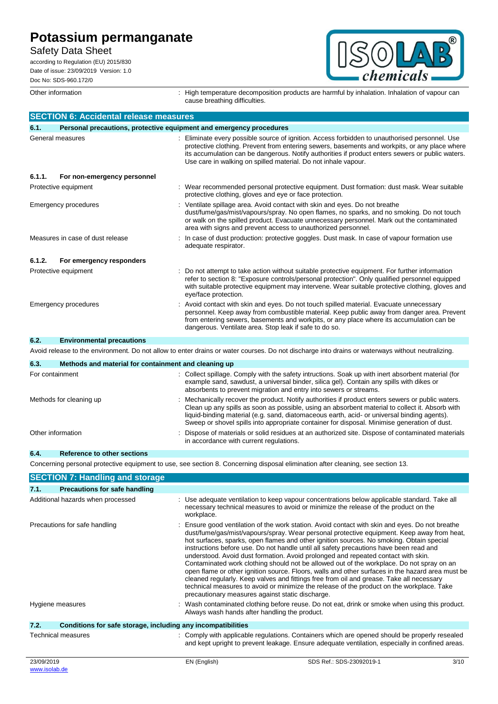Safety Data Sheet

according to Regulation (EU) 2015/830 Date of issue: 23/09/2019 Version: 1.0 Doc No: SDS-960.172/0



Other information **interpretation** : High temperature decomposition products are harmful by inhalation. Inhalation of vapour can cause breathing difficulties.

|                 | <b>SECTION 6: Accidental release measures</b>                       |                                                                                                                                                                                                                                                                                                                                                                                                     |
|-----------------|---------------------------------------------------------------------|-----------------------------------------------------------------------------------------------------------------------------------------------------------------------------------------------------------------------------------------------------------------------------------------------------------------------------------------------------------------------------------------------------|
| 6.1.            | Personal precautions, protective equipment and emergency procedures |                                                                                                                                                                                                                                                                                                                                                                                                     |
|                 | General measures                                                    | Eliminate every possible source of ignition. Access forbidden to unauthorised personnel. Use<br>protective clothing. Prevent from entering sewers, basements and workpits, or any place where<br>its accumulation can be dangerous. Notify authorities if product enters sewers or public waters.<br>Use care in walking on spilled material. Do not inhale vapour.                                 |
| 6.1.1.          | For non-emergency personnel                                         |                                                                                                                                                                                                                                                                                                                                                                                                     |
|                 | Protective equipment                                                | : Wear recommended personal protective equipment. Dust formation: dust mask. Wear suitable<br>protective clothing, gloves and eye or face protection.                                                                                                                                                                                                                                               |
|                 | Emergency procedures                                                | : Ventilate spillage area. Avoid contact with skin and eyes. Do not breathe<br>dust/fume/gas/mist/vapours/spray. No open flames, no sparks, and no smoking. Do not touch<br>or walk on the spilled product. Evacuate unnecessary personnel. Mark out the contaminated<br>area with signs and prevent access to unauthorized personnel.                                                              |
|                 | Measures in case of dust release                                    | : In case of dust production: protective goggles. Dust mask. In case of vapour formation use<br>adequate respirator.                                                                                                                                                                                                                                                                                |
| 6.1.2.          | For emergency responders                                            |                                                                                                                                                                                                                                                                                                                                                                                                     |
|                 | Protective equipment                                                | : Do not attempt to take action without suitable protective equipment. For further information<br>refer to section 8: "Exposure controls/personal protection". Only qualified personnel equipped<br>with suitable protective equipment may intervene. Wear suitable protective clothing, gloves and<br>eye/face protection.                                                                         |
|                 | <b>Emergency procedures</b>                                         | : Avoid contact with skin and eyes. Do not touch spilled material. Evacuate unnecessary<br>personnel. Keep away from combustible material. Keep public away from danger area. Prevent<br>from entering sewers, basements and workpits, or any place where its accumulation can be<br>dangerous. Ventilate area. Stop leak if safe to do so.                                                         |
| 6.2.            | <b>Environmental precautions</b>                                    |                                                                                                                                                                                                                                                                                                                                                                                                     |
|                 |                                                                     | Avoid release to the environment. Do not allow to enter drains or water courses. Do not discharge into drains or waterways without neutralizing.                                                                                                                                                                                                                                                    |
| 6.3.            | Methods and material for containment and cleaning up                |                                                                                                                                                                                                                                                                                                                                                                                                     |
| For containment |                                                                     | : Collect spillage. Comply with the safety intructions. Soak up with inert absorbent material (for<br>example sand, sawdust, a universal binder, silica gel). Contain any spills with dikes or<br>absorbents to prevent migration and entry into sewers or streams.                                                                                                                                 |
|                 | Methods for cleaning up                                             | : Mechanically recover the product. Notify authorities if product enters sewers or public waters.<br>Clean up any spills as soon as possible, using an absorbent material to collect it. Absorb with<br>liquid-binding material (e.g. sand, diatomaceous earth, acid- or universal binding agents).<br>Sweep or shovel spills into appropriate container for disposal. Minimise generation of dust. |
|                 | Other information                                                   | Dispose of materials or solid residues at an authorized site. Dispose of contaminated materials<br>in accordance with current regulations.                                                                                                                                                                                                                                                          |
| 6.4.            | Reference to other sections                                         |                                                                                                                                                                                                                                                                                                                                                                                                     |

Concerning personal protective equipment to use, see section 8. Concerning disposal elimination after cleaning, see section 13.

|            | <b>SECTION 7: Handling and storage</b>                       |              |                                                                                                                                                                                                                                                                                                                                                                                                                                                                                                                                                                                                                                                                                                                                                                                                                                                                                                                      |      |
|------------|--------------------------------------------------------------|--------------|----------------------------------------------------------------------------------------------------------------------------------------------------------------------------------------------------------------------------------------------------------------------------------------------------------------------------------------------------------------------------------------------------------------------------------------------------------------------------------------------------------------------------------------------------------------------------------------------------------------------------------------------------------------------------------------------------------------------------------------------------------------------------------------------------------------------------------------------------------------------------------------------------------------------|------|
| 7.1.       | <b>Precautions for safe handling</b>                         |              |                                                                                                                                                                                                                                                                                                                                                                                                                                                                                                                                                                                                                                                                                                                                                                                                                                                                                                                      |      |
|            | Additional hazards when processed                            | workplace.   | Use adequate ventilation to keep vapour concentrations below applicable standard. Take all<br>necessary technical measures to avoid or minimize the release of the product on the                                                                                                                                                                                                                                                                                                                                                                                                                                                                                                                                                                                                                                                                                                                                    |      |
|            | Precautions for safe handling                                |              | Ensure good ventilation of the work station. Avoid contact with skin and eyes. Do not breathe<br>dust/fume/gas/mist/vapours/spray. Wear personal protective equipment. Keep away from heat,<br>hot surfaces, sparks, open flames and other ignition sources. No smoking. Obtain special<br>instructions before use. Do not handle until all safety precautions have been read and<br>understood. Avoid dust formation. Avoid prolonged and repeated contact with skin.<br>Contaminated work clothing should not be allowed out of the workplace. Do not spray on an<br>open flame or other ignition source. Floors, walls and other surfaces in the hazard area must be<br>cleaned regularly. Keep valves and fittings free from oil and grease. Take all necessary<br>technical measures to avoid or minimize the release of the product on the workplace. Take<br>precautionary measures against static discharge. |      |
|            | Hygiene measures                                             |              | Wash contaminated clothing before reuse. Do not eat, drink or smoke when using this product.<br>Always wash hands after handling the product.                                                                                                                                                                                                                                                                                                                                                                                                                                                                                                                                                                                                                                                                                                                                                                        |      |
| 7.2.       | Conditions for safe storage, including any incompatibilities |              |                                                                                                                                                                                                                                                                                                                                                                                                                                                                                                                                                                                                                                                                                                                                                                                                                                                                                                                      |      |
|            | <b>Technical measures</b>                                    |              | : Comply with applicable regulations. Containers which are opened should be properly resealed<br>and kept upright to prevent leakage. Ensure adequate ventilation, especially in confined areas.                                                                                                                                                                                                                                                                                                                                                                                                                                                                                                                                                                                                                                                                                                                     |      |
| 23/09/2019 |                                                              | EN (English) | SDS Ref.: SDS-23092019-1                                                                                                                                                                                                                                                                                                                                                                                                                                                                                                                                                                                                                                                                                                                                                                                                                                                                                             | 3/10 |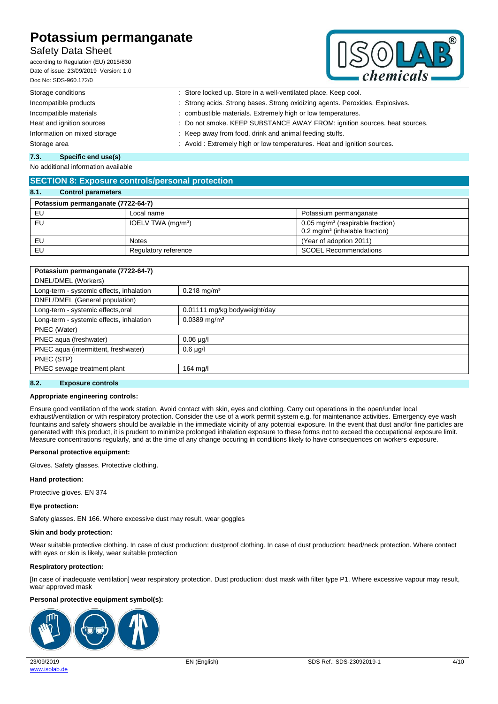# Safety Data Sheet

according to Regulation (EU) 2015/830 Date of issue: 23/09/2019 Version: 1.0 Doc No: SDS-960.172/0



| Storage conditions           | : Store locked up. Store in a well-ventilated place. Keep cool.               |
|------------------------------|-------------------------------------------------------------------------------|
| Incompatible products        | : Strong acids. Strong bases. Strong oxidizing agents. Peroxides. Explosives. |
| Incompatible materials       | : combustible materials. Extremely high or low temperatures.                  |
| Heat and ignition sources    | : Do not smoke. KEEP SUBSTANCE AWAY FROM: ignition sources. heat sources.     |
| Information on mixed storage | : Keep away from food, drink and animal feeding stuffs.                       |
| Storage area                 | : Avoid : Extremely high or low temperatures. Heat and ignition sources.      |
|                              |                                                                               |

#### **7.3. Specific end use(s)**

No additional information available

## **SECTION 8: Exposure controls/personal protection**

| 8.1.<br><b>Control parameters</b>  |                      |                                                                                                |  |  |
|------------------------------------|----------------------|------------------------------------------------------------------------------------------------|--|--|
| Potassium permanganate (7722-64-7) |                      |                                                                                                |  |  |
| EU                                 | Local name           | Potassium permanganate                                                                         |  |  |
| EU                                 | IOELV TWA $(mq/m3)$  | $0.05$ mg/m <sup>3</sup> (respirable fraction)<br>$0.2$ mg/m <sup>3</sup> (inhalable fraction) |  |  |
| EU                                 | <b>Notes</b>         | (Year of adoption 2011)                                                                        |  |  |
| EU                                 | Regulatory reference | <b>SCOEL Recommendations</b>                                                                   |  |  |

| Potassium permanganate (7722-64-7)                                    |                              |  |
|-----------------------------------------------------------------------|------------------------------|--|
| DNEL/DMEL (Workers)                                                   |                              |  |
| Long-term - systemic effects, inhalation<br>$0.218$ mg/m <sup>3</sup> |                              |  |
| DNEL/DMEL (General population)                                        |                              |  |
| Long-term - systemic effects, oral                                    | 0.01111 mg/kg bodyweight/day |  |
| Long-term - systemic effects, inhalation                              | $0.0389$ mg/m <sup>3</sup>   |  |
| PNEC (Water)                                                          |                              |  |
| PNEC aqua (freshwater)                                                | $0.06$ µg/l                  |  |
| PNEC aqua (intermittent, freshwater)                                  | $0.6 \mu g/l$                |  |
| PNEC (STP)                                                            |                              |  |
| PNEC sewage treatment plant                                           | 164 mg/l                     |  |
|                                                                       |                              |  |

### **8.2. Exposure controls**

#### **Appropriate engineering controls:**

Ensure good ventilation of the work station. Avoid contact with skin, eyes and clothing. Carry out operations in the open/under local exhaust/ventilation or with respiratory protection. Consider the use of a work permit system e.g. for maintenance activities. Emergency eye wash fountains and safety showers should be available in the immediate vicinity of any potential exposure. In the event that dust and/or fine particles are generated with this product, it is prudent to minimize prolonged inhalation exposure to these forms not to exceed the occupational exposure limit. Measure concentrations regularly, and at the time of any change occuring in conditions likely to have consequences on workers exposure.

#### **Personal protective equipment:**

Gloves. Safety glasses. Protective clothing.

#### **Hand protection:**

Protective gloves. EN 374

#### **Eye protection:**

Safety glasses. EN 166. Where excessive dust may result, wear goggles

#### **Skin and body protection:**

Wear suitable protective clothing. In case of dust production: dustproof clothing. In case of dust production: head/neck protection. Where contact with eyes or skin is likely, wear suitable protection

#### **Respiratory protection:**

[In case of inadequate ventilation] wear respiratory protection. Dust production: dust mask with filter type P1. Where excessive vapour may result, wear approved mask

#### **Personal protective equipment symbol(s):**

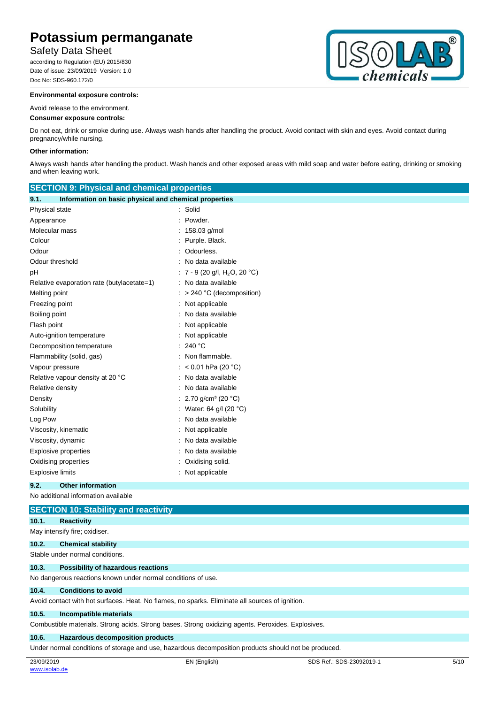## Safety Data Sheet

according to Regulation (EU) 2015/830 Date of issue: 23/09/2019 Version: 1.0 Doc No: SDS-960.172/0

#### **Environmental exposure controls:**

#### Avoid release to the environment.

#### **Consumer exposure controls:**

Do not eat, drink or smoke during use. Always wash hands after handling the product. Avoid contact with skin and eyes. Avoid contact during pregnancy/while nursing.

#### **Other information:**

Always wash hands after handling the product. Wash hands and other exposed areas with mild soap and water before eating, drinking or smoking and when leaving work.

| <b>SECTION 9: Physical and chemical properties</b>            |                                          |  |
|---------------------------------------------------------------|------------------------------------------|--|
| Information on basic physical and chemical properties<br>9.1. |                                          |  |
| Physical state                                                | Solid                                    |  |
| Appearance                                                    | Powder.                                  |  |
| Molecular mass                                                | 158.03 g/mol                             |  |
| Colour                                                        | Purple. Black.                           |  |
| Odour                                                         | Odourless.                               |  |
| Odour threshold                                               | No data available                        |  |
| рH                                                            | 7 - 9 (20 g/l, H <sub>2</sub> O, 20 °C)  |  |
| Relative evaporation rate (butylacetate=1)                    | : No data available                      |  |
| Melting point                                                 | > 240 °C (decomposition)                 |  |
| Freezing point                                                | Not applicable                           |  |
| Boiling point                                                 | No data available                        |  |
| Flash point                                                   | Not applicable                           |  |
| Auto-ignition temperature                                     | Not applicable                           |  |
| Decomposition temperature                                     | 240 °C                                   |  |
| Flammability (solid, gas)                                     | Non flammable.                           |  |
| Vapour pressure                                               | < $0.01$ hPa (20 °C)                     |  |
| Relative vapour density at 20 °C                              | No data available                        |  |
| Relative density                                              | No data available                        |  |
| Density                                                       | 2.70 g/cm <sup>3</sup> (20 $^{\circ}$ C) |  |
| Solubility                                                    | Water: 64 g/l (20 °C)                    |  |
| Log Pow                                                       | No data available                        |  |
| Viscosity, kinematic                                          | Not applicable                           |  |
| Viscosity, dynamic                                            | No data available                        |  |
| <b>Explosive properties</b>                                   | No data available                        |  |
| Oxidising properties                                          | Oxidising solid.                         |  |
| <b>Explosive limits</b>                                       | Not applicable                           |  |
| 9.2.<br><b>Other information</b>                              |                                          |  |
| No additional information available                           |                                          |  |
| <b>SECTION 10: Stability and reactivity</b>                   |                                          |  |

## **10.1. Reactivity**

May intensify fire; oxidiser.

### **10.2. Chemical stability**

Stable under normal conditions.

#### **10.3. Possibility of hazardous reactions**

No dangerous reactions known under normal conditions of use.

#### **10.4. Conditions to avoid**

Avoid contact with hot surfaces. Heat. No flames, no sparks. Eliminate all sources of ignition.

#### **10.5. Incompatible materials**

Combustible materials. Strong acids. Strong bases. Strong oxidizing agents. Peroxides. Explosives.

### **10.6. Hazardous decomposition products**

Under normal conditions of storage and use, hazardous decomposition products should not be produced.

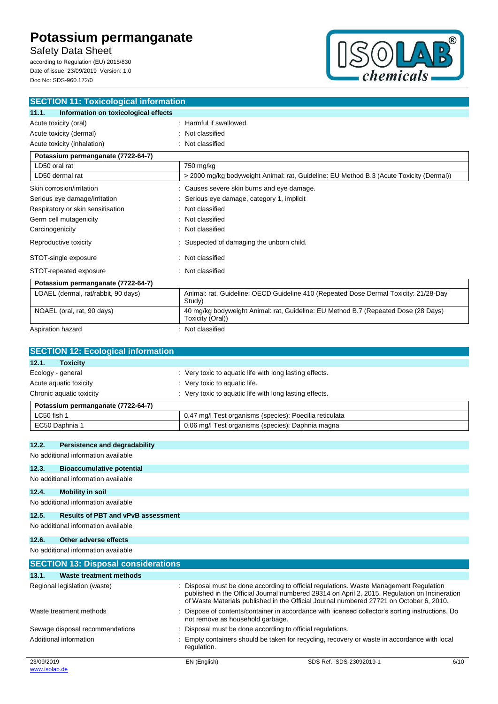Safety Data Sheet

according to Regulation (EU) 2015/830 Date of issue: 23/09/2019 Version: 1.0 Doc No: SDS-960.172/0



| <b>SECTION 11: Toxicological information</b>  |                                                                                                        |  |
|-----------------------------------------------|--------------------------------------------------------------------------------------------------------|--|
| 11.1.<br>Information on toxicological effects |                                                                                                        |  |
| Acute toxicity (oral)                         | Harmful if swallowed.                                                                                  |  |
| Acute toxicity (dermal)                       | Not classified                                                                                         |  |
| Acute toxicity (inhalation)                   | Not classified                                                                                         |  |
| Potassium permanganate (7722-64-7)            |                                                                                                        |  |
| LD50 oral rat                                 | 750 mg/kg                                                                                              |  |
| LD50 dermal rat                               | > 2000 mg/kg bodyweight Animal: rat, Guideline: EU Method B.3 (Acute Toxicity (Dermal))                |  |
| Skin corrosion/irritation                     | Causes severe skin burns and eye damage.                                                               |  |
| Serious eye damage/irritation                 | Serious eye damage, category 1, implicit                                                               |  |
| Respiratory or skin sensitisation             | Not classified                                                                                         |  |
| Germ cell mutagenicity                        | Not classified                                                                                         |  |
| Carcinogenicity                               | Not classified                                                                                         |  |
| Reproductive toxicity                         | Suspected of damaging the unborn child.                                                                |  |
| STOT-single exposure                          | Not classified                                                                                         |  |
| STOT-repeated exposure                        | Not classified                                                                                         |  |
| Potassium permanganate (7722-64-7)            |                                                                                                        |  |
| LOAEL (dermal, rat/rabbit, 90 days)           | Animal: rat, Guideline: OECD Guideline 410 (Repeated Dose Dermal Toxicity: 21/28-Day<br>Study)         |  |
| NOAEL (oral, rat, 90 days)                    | 40 mg/kg bodyweight Animal: rat, Guideline: EU Method B.7 (Repeated Dose (28 Days)<br>Toxicity (Oral)) |  |
| Aspiration hazard                             | Not classified                                                                                         |  |

| Very toxic to aquatic life with long lasting effects.                               |  |
|-------------------------------------------------------------------------------------|--|
| Very toxic to aquatic life.                                                         |  |
| : Very toxic to aquatic life with long lasting effects.<br>Chronic aquatic toxicity |  |
|                                                                                     |  |
| 0.47 mg/l Test organisms (species): Poecilia reticulata                             |  |
| 0.06 mg/l Test organisms (species): Daphnia magna                                   |  |
|                                                                                     |  |

## **12.2. Persistence and degradability**

No additional information available

## **12.3. Bioaccumulative potential**

## No additional information available

**12.4. Mobility in soil**

No additional information available

### **12.5. Results of PBT and vPvB assessment**

## No additional information available **12.6. Other adverse effects**

No additional information available

| <b>SECTION 13: Disposal considerations</b> |              |                                                                                                                                                                                                                                                                                    |      |  |
|--------------------------------------------|--------------|------------------------------------------------------------------------------------------------------------------------------------------------------------------------------------------------------------------------------------------------------------------------------------|------|--|
| <b>Waste treatment methods</b><br>13.1.    |              |                                                                                                                                                                                                                                                                                    |      |  |
| Regional legislation (waste)               |              | : Disposal must be done according to official regulations. Waste Management Regulation<br>published in the Official Journal numbered 29314 on April 2, 2015. Regulation on Incineration<br>of Waste Materials published in the Official Journal numbered 27721 on October 6, 2010. |      |  |
| Waste treatment methods                    |              | Dispose of contents/container in accordance with licensed collector's sorting instructions. Do<br>not remove as household garbage.                                                                                                                                                 |      |  |
| Sewage disposal recommendations            |              | Disposal must be done according to official regulations.                                                                                                                                                                                                                           |      |  |
| Additional information                     | regulation.  | Empty containers should be taken for recycling, recovery or waste in accordance with local                                                                                                                                                                                         |      |  |
| 23/09/2019<br>www.isolab.de                | EN (English) | SDS Ref.: SDS-23092019-1                                                                                                                                                                                                                                                           | 6/10 |  |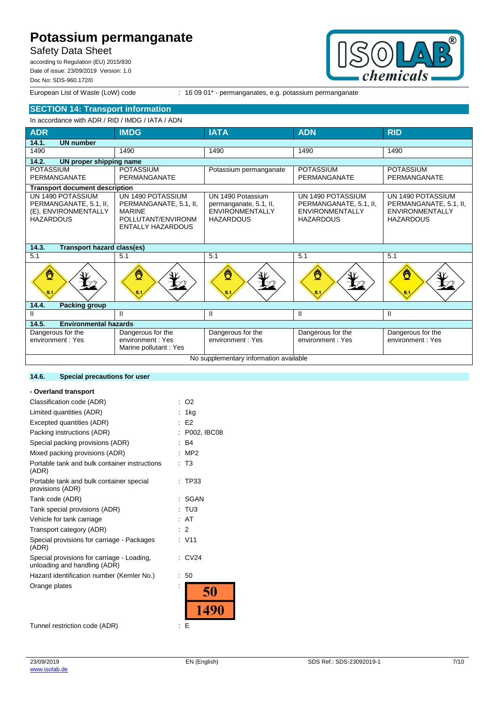# Safety Data Sheet

according to Regulation (EU) 2015/830 Date of issue: 23/09/2019 Version: 1.0 Doc No: SDS-960.172/0



European List of Waste (LoW) code : 16 09 01<sup>\*</sup> - permanganates, e.g. potassium permanganate

# **SECTION 14: Transport information**

#### In accordance with ADR / RID / IMDG / IATA / ADN

| <b>ADR</b>                                                                              | <b>IMDG</b>                                                                                                    | <b>IATA</b>                                                                               | <b>ADN</b>                                                                                | <b>RID</b>                                                                                |
|-----------------------------------------------------------------------------------------|----------------------------------------------------------------------------------------------------------------|-------------------------------------------------------------------------------------------|-------------------------------------------------------------------------------------------|-------------------------------------------------------------------------------------------|
| 14.1.<br><b>UN number</b>                                                               |                                                                                                                |                                                                                           |                                                                                           |                                                                                           |
| 1490                                                                                    | 1490                                                                                                           | 1490                                                                                      | 1490                                                                                      | 1490                                                                                      |
| 14.2.<br>UN proper shipping name                                                        |                                                                                                                |                                                                                           |                                                                                           |                                                                                           |
| <b>POTASSIUM</b>                                                                        | <b>POTASSIUM</b>                                                                                               | Potassium permanganate                                                                    | <b>POTASSIUM</b>                                                                          | <b>POTASSIUM</b>                                                                          |
| PERMANGANATE                                                                            | PERMANGANATE                                                                                                   |                                                                                           | PERMANGANATE                                                                              | PERMANGANATE                                                                              |
| <b>Transport document description</b>                                                   |                                                                                                                |                                                                                           |                                                                                           |                                                                                           |
| UN 1490 POTASSIUM<br>PERMANGANATE, 5.1, II,<br>(E), ENVIRONMENTALLY<br><b>HAZARDOUS</b> | UN 1490 POTASSIUM<br>PERMANGANATE, 5.1, II,<br><b>MARINE</b><br>POLLUTANT/ENVIRONM<br><b>ENTALLY HAZARDOUS</b> | UN 1490 Potassium<br>permanganate, 5.1, II,<br><b>ENVIRONMENTALLY</b><br><b>HAZARDOUS</b> | UN 1490 POTASSIUM<br>PERMANGANATE, 5.1, II,<br><b>ENVIRONMENTALLY</b><br><b>HAZARDOUS</b> | UN 1490 POTASSIUM<br>PERMANGANATE, 5.1, II,<br><b>ENVIRONMENTALLY</b><br><b>HAZARDOUS</b> |
| 14.3.<br><b>Transport hazard class(es)</b>                                              |                                                                                                                |                                                                                           |                                                                                           |                                                                                           |
| 5.1                                                                                     | 5.1                                                                                                            | 5.1                                                                                       | 5.1                                                                                       | 5.1                                                                                       |
| Ö                                                                                       | Ö                                                                                                              | ℧                                                                                         | ℧                                                                                         | ّ₫                                                                                        |
| 14.4.<br><b>Packing group</b>                                                           |                                                                                                                |                                                                                           |                                                                                           |                                                                                           |
| Ш                                                                                       | Ш.                                                                                                             | Ш                                                                                         | Ш                                                                                         | Ш                                                                                         |
| <b>Environmental hazards</b><br>14.5.                                                   |                                                                                                                |                                                                                           |                                                                                           |                                                                                           |
| Dangerous for the                                                                       | Dangerous for the                                                                                              | Dangerous for the                                                                         | Dangerous for the                                                                         | Dangerous for the                                                                         |
| environment: Yes                                                                        | environment: Yes                                                                                               | environment: Yes                                                                          | environment: Yes                                                                          | environment: Yes                                                                          |
|                                                                                         | Marine pollutant: Yes                                                                                          |                                                                                           |                                                                                           |                                                                                           |
| No supplementary information available                                                  |                                                                                                                |                                                                                           |                                                                                           |                                                                                           |

#### **14.6. Special precautions for user**

#### **- Overland transport** Classification code (ADR) : O2 Limited quantities (ADR) : 1kg Excepted quantities (ADR) : E2 Packing instructions (ADR) : P002, IBC08 Special packing provisions (ADR) : B4 Mixed packing provisions (ADR) : MP2 Portable tank and bulk container instructions : T3 (ADR) Portable tank and bulk container special : TP33 provisions (ADR) Tank code (ADR) : SGAN Tank special provisions (ADR) : TU3 Vehicle for tank carriage : AT Transport category (ADR) : 2 Special provisions for carriage - Packages : V11 (ADR) Special provisions for carriage - Loading, : CV24 unloading and handling (ADR) Hazard identification number (Kemler No.) : 50 Orange plates 50 1490 Tunnel restriction code (ADR) : E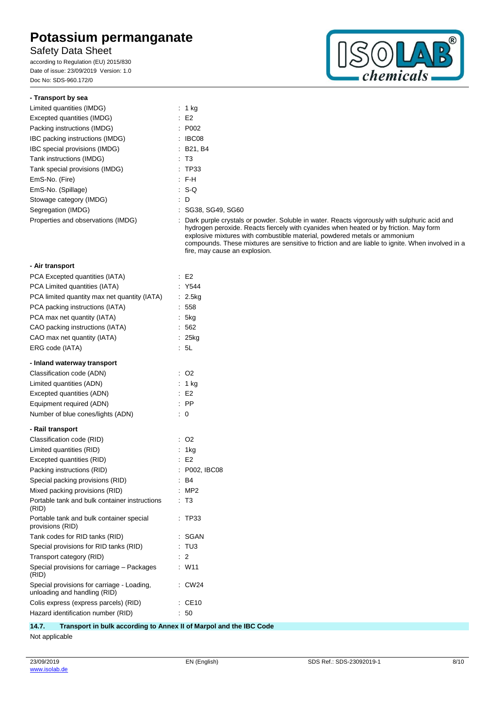# Safety Data Sheet

according to Regulation (EU) 2015/830 Date of issue: 23/09/2019 Version: 1.0 Doc No: SDS-960.172/0



#### **- Transport by sea**

| Limited quantities (IMDG)          | $: 1$ kg                                                                                                                      |
|------------------------------------|-------------------------------------------------------------------------------------------------------------------------------|
| Excepted quantities (IMDG)         | E2                                                                                                                            |
| Packing instructions (IMDG)        | : P002                                                                                                                        |
| IBC packing instructions (IMDG)    | $\therefore$ IBC08                                                                                                            |
| IBC special provisions (IMDG)      | : B21, B4                                                                                                                     |
| Tank instructions (IMDG)           | : T3                                                                                                                          |
| Tank special provisions (IMDG)     | : TP33                                                                                                                        |
| EmS-No. (Fire)                     | : FH                                                                                                                          |
| EmS-No. (Spillage)                 | $\cdot$ S-Q                                                                                                                   |
| Stowage category (IMDG)            | : D                                                                                                                           |
| Segregation (IMDG)                 | : SG38, SG49, SG60                                                                                                            |
| Properties and observations (IMDG) | : Dark purple crystals or powder. Soluble<br>hydrogen peroxide. Reacts fiercely with<br>explosive mixtures with combustible m |

e in water. Reacts vigorously with sulphuric acid and h cyanides when heated or by friction. May form aterial, powdered metals or ammonium compounds. These mixtures are sensitive to friction and are liable to ignite. When involved in a fire, may cause an explosion.

## **- Air transport**

| PCA Excepted quantities (IATA)                                             |    | E <sub>2</sub>     |
|----------------------------------------------------------------------------|----|--------------------|
| PCA Limited quantities (IATA)                                              |    | Y544               |
| PCA limited quantity max net quantity (IATA)                               | ÷  | 2.5kg              |
| PCA packing instructions (IATA)                                            |    | 558                |
| PCA max net quantity (IATA)                                                |    | 5kg                |
| CAO packing instructions (IATA)                                            |    | 562                |
| CAO max net quantity (IATA)                                                |    | $25$ <sub>kg</sub> |
| ERG code (IATA)                                                            |    | 5L                 |
| - Inland waterway transport                                                |    |                    |
| Classification code (ADN)                                                  |    | O <sub>2</sub>     |
| Limited quantities (ADN)                                                   |    | $1$ kg             |
| Excepted quantities (ADN)                                                  |    | E <sub>2</sub>     |
| Equipment required (ADN)                                                   |    | <b>PP</b>          |
| Number of blue cones/lights (ADN)                                          |    | 0                  |
| - Rail transport                                                           |    |                    |
| Classification code (RID)                                                  |    | O2                 |
| Limited quantities (RID)                                                   |    | 1kg                |
| Excepted quantities (RID)                                                  |    | E <sub>2</sub>     |
| Packing instructions (RID)                                                 |    | P002, IBC08        |
| Special packing provisions (RID)                                           |    | B <sub>4</sub>     |
| Mixed packing provisions (RID)                                             |    | MP <sub>2</sub>    |
| Portable tank and bulk container instructions<br>(RID)                     |    | T3                 |
| Portable tank and bulk container special<br>provisions (RID)               |    | <b>TP33</b>        |
| Tank codes for RID tanks (RID)                                             |    | SGAN               |
| Special provisions for RID tanks (RID)                                     |    | TU3                |
| Transport category (RID)                                                   |    | 2                  |
| Special provisions for carriage - Packages<br>(RID)                        | ÷  | W11                |
| Special provisions for carriage - Loading,<br>unloading and handling (RID) |    | CW24               |
| Colis express (express parcels) (RID)                                      |    | CE10               |
| Hazard identification number (RID)                                         | ÷. | 50                 |
|                                                                            |    |                    |

### **14.7. Transport in bulk according to Annex II of Marpol and the IBC Code**

Not applicable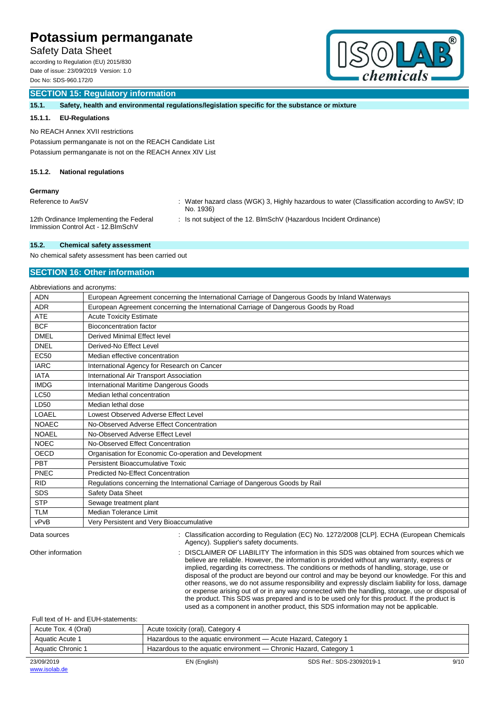# Safety Data Sheet

according to Regulation (EU) 2015/830 Date of issue: 23/09/2019 Version: 1.0 Doc No: SDS-960.172/0



### **SECTION 15: Regulatory information**

**15.1. Safety, health and environmental regulations/legislation specific for the substance or mixture**

#### **15.1.1. EU-Regulations**

No REACH Annex XVII restrictions

Potassium permanganate is not on the REACH Candidate List Potassium permanganate is not on the REACH Annex XIV List

#### **15.1.2. National regulations**

#### **Germany**

Reference to AwSV : Water hazard class (WGK) 3, Highly hazardous to water (Classification according to AwSV; ID No. 1936)

12th Ordinance Implementing the Federal Immission Control Act - 12.BImSchV

: Is not subject of the 12. BlmSchV (Hazardous Incident Ordinance)

#### **15.2. Chemical safety assessment**

No chemical safety assessment has been carried out

### **SECTION 16: Other information**

| Abbreviations and acronyms: |                                                                                                 |  |
|-----------------------------|-------------------------------------------------------------------------------------------------|--|
| <b>ADN</b>                  | European Agreement concerning the International Carriage of Dangerous Goods by Inland Waterways |  |
| <b>ADR</b>                  | European Agreement concerning the International Carriage of Dangerous Goods by Road             |  |
| <b>ATE</b>                  | <b>Acute Toxicity Estimate</b>                                                                  |  |
| <b>BCF</b>                  | <b>Bioconcentration factor</b>                                                                  |  |
| <b>DMEL</b>                 | Derived Minimal Effect level                                                                    |  |
| <b>DNEL</b>                 | Derived-No Effect Level                                                                         |  |
| <b>EC50</b>                 | Median effective concentration                                                                  |  |
| <b>IARC</b>                 | International Agency for Research on Cancer                                                     |  |
| <b>IATA</b>                 | International Air Transport Association                                                         |  |
| <b>IMDG</b>                 | International Maritime Dangerous Goods                                                          |  |
| <b>LC50</b>                 | Median lethal concentration                                                                     |  |
| LD50                        | Median lethal dose                                                                              |  |
| LOAEL                       | Lowest Observed Adverse Effect Level                                                            |  |
| <b>NOAEC</b>                | No-Observed Adverse Effect Concentration                                                        |  |
| <b>NOAEL</b>                | No-Observed Adverse Effect Level                                                                |  |
| <b>NOEC</b>                 | No-Observed Effect Concentration                                                                |  |
| OECD                        | Organisation for Economic Co-operation and Development                                          |  |
| PBT                         | Persistent Bioaccumulative Toxic                                                                |  |
| PNEC                        | <b>Predicted No-Effect Concentration</b>                                                        |  |
| <b>RID</b>                  | Regulations concerning the International Carriage of Dangerous Goods by Rail                    |  |
| <b>SDS</b>                  | Safety Data Sheet                                                                               |  |
| <b>STP</b>                  | Sewage treatment plant                                                                          |  |
| <b>TLM</b>                  | <b>Median Tolerance Limit</b>                                                                   |  |
| vPvB                        | Very Persistent and Very Bioaccumulative                                                        |  |
|                             |                                                                                                 |  |

Data sources **in the source of the Classification according to Regulation (EC) No. 1272/2008 [CLP]. ECHA (European Chemicals in the material of the material of the material of the material of the material of the material o** Agency). Supplier's safety documents.

Other information : DISCLAIMER OF LIABILITY The information in this SDS was obtained from sources which we believe are reliable. However, the information is provided without any warranty, express or implied, regarding its correctness. The conditions or methods of handling, storage, use or disposal of the product are beyond our control and may be beyond our knowledge. For this and other reasons, we do not assume responsibility and expressly disclaim liability for loss, damage

or expense arising out of or in any way connected with the handling, storage, use or disposal of the product. This SDS was prepared and is to be used only for this product. If the product is used as a component in another product, this SDS information may not be applicable.

#### Full text of H- and EUH-statements:

| Acute Tox. 4 (Oral) | Acute toxicity (oral), Category 4                                 |
|---------------------|-------------------------------------------------------------------|
| Aquatic Acute 1     | Hazardous to the aquatic environment — Acute Hazard, Category 1   |
| Aquatic Chronic 1   | Hazardous to the aquatic environment — Chronic Hazard, Category 1 |
|                     |                                                                   |